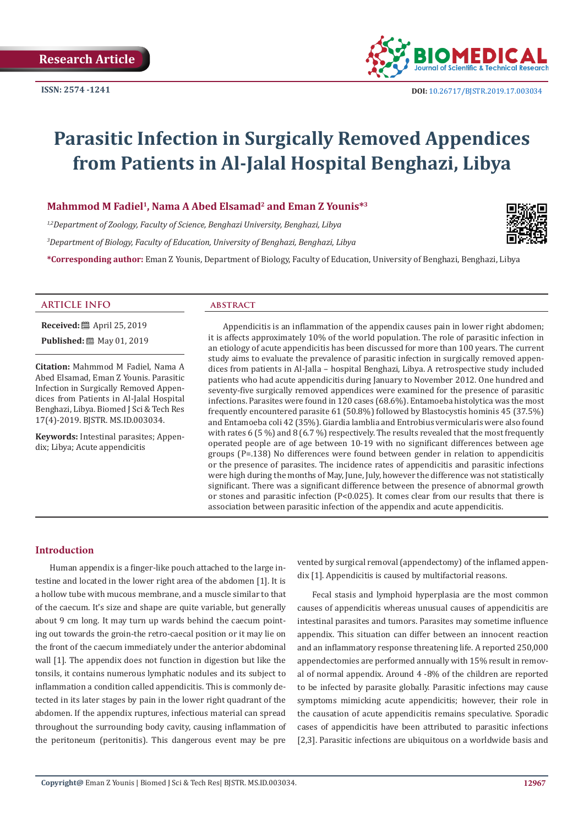

# **Parasitic Infection in Surgically Removed Appendices from Patients in Al-Jalal Hospital Benghazi, Libya**

Mahmmod M Fadiel<sup>1</sup>, Nama A Abed Elsamad<sup>2</sup> and Eman Z Younis<sup>\*3</sup>

*1,2Department of Zoology, Faculty of Science, Benghazi University, Benghazi, Libya 3 Department of Biology, Faculty of Education, University of Benghazi, Benghazi, Libya*

**\*Corresponding author:** Eman Z Younis, Department of Biology, Faculty of Education, University of Benghazi, Benghazi, Libya



**Received:** ■ April 25, 2019 **Published:** 圖 May 01, 2019

**Citation:** Mahmmod M Fadiel, Nama A Abed Elsamad, Eman Z Younis. Parasitic Infection in Surgically Removed Appendices from Patients in Al-Jalal Hospital Benghazi, Libya. Biomed J Sci & Tech Res 17(4)-2019. BJSTR. MS.ID.003034.

**Keywords:** Intestinal parasites; Appendix; Libya; Acute appendicitis

Appendicitis is an inflammation of the appendix causes pain in lower right abdomen; it is affects approximately 10% of the world population. The role of parasitic infection in an etiology of acute appendicitis has been discussed for more than 100 years. The current study aims to evaluate the prevalence of parasitic infection in surgically removed appendices from patients in Al-Jalla – hospital Benghazi, Libya. A retrospective study included patients who had acute appendicitis during January to November 2012. One hundred and seventy-five surgically removed appendices were examined for the presence of parasitic infections. Parasites were found in 120 cases (68.6%). Entamoeba histolytica was the most frequently encountered parasite 61 (50.8%) followed by Blastocystis hominis 45 (37.5%) and Entamoeba coli 42 (35%). Giardia lamblia and Entrobius vermicularis were also found with rates 6 (5 %) and 8 (6.7 %) respectively. The results revealed that the most frequently operated people are of age between 10-19 with no significant differences between age groups (P=.138) No differences were found between gender in relation to appendicitis or the presence of parasites. The incidence rates of appendicitis and parasitic infections were high during the months of May, June, July, however the difference was not statistically significant. There was a significant difference between the presence of abnormal growth or stones and parasitic infection (P<0.025). It comes clear from our results that there is association between parasitic infection of the appendix and acute appendicitis.

#### **Introduction**

Human appendix is a finger-like pouch attached to the large intestine and located in the lower right area of the abdomen [1]. It is a hollow tube with mucous membrane, and a muscle similar to that of the caecum. It's size and shape are quite variable, but generally about 9 cm long. It may turn up wards behind the caecum pointing out towards the groin-the retro-caecal position or it may lie on the front of the caecum immediately under the anterior abdominal wall [1]. The appendix does not function in digestion but like the tonsils, it contains numerous lymphatic nodules and its subject to inflammation a condition called appendicitis. This is commonly detected in its later stages by pain in the lower right quadrant of the abdomen. If the appendix ruptures, infectious material can spread throughout the surrounding body cavity, causing inflammation of the peritoneum (peritonitis). This dangerous event may be pre vented by surgical removal (appendectomy) of the inflamed appendix [1]. Appendicitis is caused by multifactorial reasons.

Fecal stasis and lymphoid hyperplasia are the most common causes of appendicitis whereas unusual causes of appendicitis are intestinal parasites and tumors. Parasites may sometime influence appendix. This situation can differ between an innocent reaction and an inflammatory response threatening life. A reported 250,000 appendectomies are performed annually with 15% result in removal of normal appendix. Around 4 -8% of the children are reported to be infected by parasite globally. Parasitic infections may cause symptoms mimicking acute appendicitis; however, their role in the causation of acute appendicitis remains speculative. Sporadic cases of appendicitis have been attributed to parasitic infections [2,3]. Parasitic infections are ubiquitous on a worldwide basis and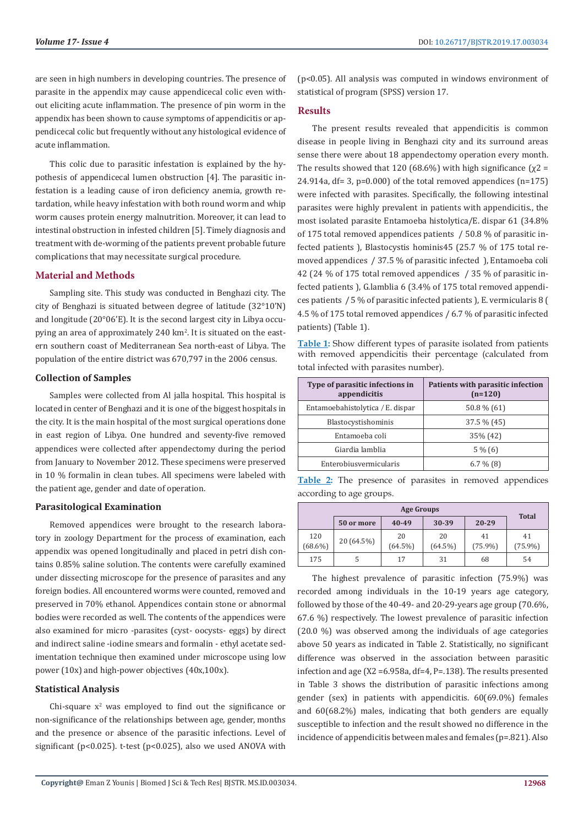are seen in high numbers in developing countries. The presence of parasite in the appendix may cause appendicecal colic even without eliciting acute inflammation. The presence of pin worm in the appendix has been shown to cause symptoms of appendicitis or appendicecal colic but frequently without any histological evidence of acute inflammation.

This colic due to parasitic infestation is explained by the hypothesis of appendicecal lumen obstruction [4]. The parasitic infestation is a leading cause of iron deficiency anemia, growth retardation, while heavy infestation with both round worm and whip worm causes protein energy malnutrition. Moreover, it can lead to intestinal obstruction in infested children [5]. Timely diagnosis and treatment with de-worming of the patients prevent probable future complications that may necessitate surgical procedure.

#### **Material and Methods**

Sampling site. This study was conducted in Benghazi city. The city of Benghazi is situated between degree of latitude (32°10'N) and longitude (20°06'E). It is the second largest city in Libya occupying an area of approximately 240 km<sup>2</sup>. It is situated on the eastern southern coast of Mediterranean Sea north-east of Libya. The population of the entire district was 670,797 in the 2006 census.

#### **Collection of Samples**

Samples were collected from Al jalla hospital. This hospital is located in center of Benghazi and it is one of the biggest hospitals in the city. It is the main hospital of the most surgical operations done in east region of Libya. One hundred and seventy-five removed appendices were collected after appendectomy during the period from January to November 2012. These specimens were preserved in 10 % formalin in clean tubes. All specimens were labeled with the patient age, gender and date of operation.

#### **Parasitological Examination**

Removed appendices were brought to the research laboratory in zoology Department for the process of examination, each appendix was opened longitudinally and placed in petri dish contains 0.85% saline solution. The contents were carefully examined under dissecting microscope for the presence of parasites and any foreign bodies. All encountered worms were counted, removed and preserved in 70% ethanol. Appendices contain stone or abnormal bodies were recorded as well. The contents of the appendices were also examined for micro -parasites (cyst- oocysts- eggs) by direct and indirect saline -iodine smears and formalin - ethyl acetate sedimentation technique then examined under microscope using low power (10x) and high-power objectives (40x,100x).

#### **Statistical Analysis**

 $Chi$ -square  $x^2$  was employed to find out the significance or non-significance of the relationships between age, gender, months and the presence or absence of the parasitic infections. Level of significant ( $p<0.025$ ). t-test ( $p<0.025$ ), also we used ANOVA with

(p<0.05). All analysis was computed in windows environment of statistical of program (SPSS) version 17.

#### **Results**

The present results revealed that appendicitis is common disease in people living in Benghazi city and its surround areas sense there were about 18 appendectomy operation every month. The results showed that 120 (68.6%) with high significance ( $x2 =$ 24.914a,  $df = 3$ ,  $p=0.000$  of the total removed appendices  $(n=175)$ were infected with parasites. Specifically, the following intestinal parasites were highly prevalent in patients with appendicitis., the most isolated parasite Entamoeba histolytica/E. dispar 61 (34.8% of 175 total removed appendices patients / 50.8 % of parasitic infected patients ), Blastocystis hominis45 (25.7 % of 175 total removed appendices / 37.5 % of parasitic infected ), Entamoeba coli 42 (24 % of 175 total removed appendices / 35 % of parasitic infected patients ), G.lamblia 6 (3.4% of 175 total removed appendices patients / 5 % of parasitic infected patients ), E. vermicularis 8 ( 4.5 % of 175 total removed appendices / 6.7 % of parasitic infected patients) (Table 1).

**Table 1:** Show different types of parasite isolated from patients with removed appendicitis their percentage (calculated from total infected with parasites number).

| Type of parasitic infections in<br>appendicitis | Patients with parasitic infection<br>$(n=120)$ |
|-------------------------------------------------|------------------------------------------------|
| Entamoebahistolytica / E. dispar                | $50.8\%$ (61)                                  |
| Blastocystishominis                             | $37.5\%$ (45)                                  |
| Entamoeba coli                                  | 35% (42)                                       |
| Giardia lamblia                                 | $5\%$ (6)                                      |
| Enterobiusvermicularis                          | $6.7\%$ (8)                                    |

**Table 2:** The presence of parasites in removed appendices according to age groups.

| Age Groups        |            |                  |                  |                  |                  |
|-------------------|------------|------------------|------------------|------------------|------------------|
|                   | 50 or more | 40-49            | 30-39            | 20-29            | <b>Total</b>     |
| 120<br>$(68.6\%)$ | 20 (64.5%) | 20<br>$(64.5\%)$ | 20<br>$(64.5\%)$ | 41<br>$(75.9\%)$ | 41<br>$(75.9\%)$ |
| 175               |            | 17               | 31               | 68               | 54               |

The highest prevalence of parasitic infection (75.9%) was recorded among individuals in the 10-19 years age category, followed by those of the 40-49- and 20-29-years age group (70.6%, 67.6 %) respectively. The lowest prevalence of parasitic infection (20.0 %) was observed among the individuals of age categories above 50 years as indicated in Table 2. Statistically, no significant difference was observed in the association between parasitic infection and age (X2 =6.958a, df=4, P=.138). The results presented in Table 3 shows the distribution of parasitic infections among gender (sex) in patients with appendicitis. 60(69.0%) females and 60(68.2%) males, indicating that both genders are equally susceptible to infection and the result showed no difference in the incidence of appendicitis between males and females (p=.821). Also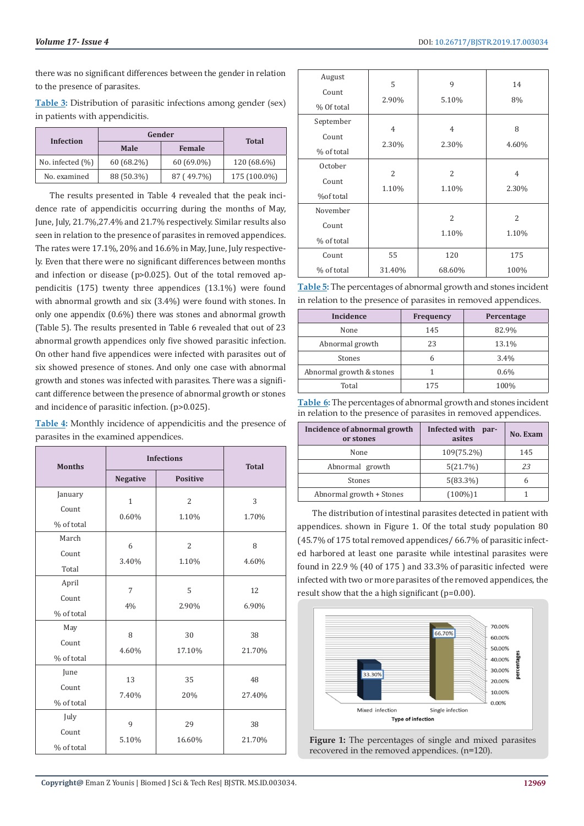there was no significant differences between the gender in relation to the presence of parasites.

**Table 3:** Distribution of parasitic infections among gender (sex) in patients with appendicitis.

| Infection            | Gender     |               | <b>Total</b> |  |
|----------------------|------------|---------------|--------------|--|
|                      | Male       | <b>Female</b> |              |  |
| No. infected $(\% )$ | 60 (68.2%) | $60(69.0\%)$  | 120 (68.6%)  |  |
| No. examined         | 88 (50.3%) | 87 (49.7%)    | 175 (100.0%) |  |

The results presented in Table 4 revealed that the peak incidence rate of appendicitis occurring during the months of May, June, July, 21.7%,27.4% and 21.7% respectively. Similar results also seen in relation to the presence of parasites in removed appendices. The rates were 17.1%, 20% and 16.6% in May, June, July respectively. Even that there were no significant differences between months and infection or disease (p>0.025). Out of the total removed appendicitis (175) twenty three appendices (13.1%) were found with abnormal growth and six (3.4%) were found with stones. In only one appendix (0.6%) there was stones and abnormal growth (Table 5). The results presented in Table 6 revealed that out of 23 abnormal growth appendices only five showed parasitic infection. On other hand five appendices were infected with parasites out of six showed presence of stones. And only one case with abnormal growth and stones was infected with parasites. There was a significant difference between the presence of abnormal growth or stones and incidence of parasitic infection. (p>0.025).

| Table 4: Monthly incidence of appendicitis and the presence of |  |
|----------------------------------------------------------------|--|
| parasites in the examined appendices.                          |  |

| <b>Months</b>                  | <b>Infections</b>     |                         | <b>Total</b> |
|--------------------------------|-----------------------|-------------------------|--------------|
|                                | <b>Negative</b>       | <b>Positive</b>         |              |
| January<br>Count<br>% of total | $\mathbf{1}$<br>0.60% | $\overline{2}$<br>1.10% | 3<br>1.70%   |
| March<br>Count<br>Total        | 6<br>3.40%            | $\overline{2}$<br>1.10% | 8<br>4.60%   |
| April<br>Count<br>% of total   | $\overline{7}$<br>4%  | 5<br>2.90%              | 12<br>6.90%  |
| May<br>Count<br>% of total     | 8<br>4.60%            | 30<br>17.10%            | 38<br>21.70% |
| June<br>Count<br>% of total    | 13<br>7.40%           | 35<br>20%               | 48<br>27.40% |
| July<br>Count<br>% of total    | 9<br>5.10%            | 29<br>16.60%            | 38<br>21.70% |

| August     | 5              | 9              | 14                       |
|------------|----------------|----------------|--------------------------|
| Count      |                |                |                          |
| % Of total | 2.90%          | 5.10%          | 8%                       |
| September  |                |                |                          |
| Count      | $\overline{4}$ | 4              | 8                        |
| % of total | 2.30%          | 2.30%          | 4.60%                    |
| October    |                |                |                          |
| Count      | 2              | $\overline{2}$ | $\overline{4}$           |
| %of total  | 1.10%          | 1.10%          | 2.30%                    |
| November   |                |                |                          |
| Count      |                | $\overline{2}$ | $\overline{\mathcal{L}}$ |
| % of total |                | 1.10%          | 1.10%                    |
| Count      | 55             | 120            | 175                      |
| % of total | 31.40%         | 68.60%         | 100%                     |

**Table 5:** The percentages of abnormal growth and stones incident in relation to the presence of parasites in removed appendices.

| Incidence                | <b>Frequency</b> | Percentage |
|--------------------------|------------------|------------|
| None                     | 145              | 82.9%      |
| Abnormal growth          | 23               | 13.1%      |
| Stones                   | 6                | 3.4%       |
| Abnormal growth & stones |                  | $0.6\%$    |
| Total                    | 175              | 100%       |

**Table 6:** The percentages of abnormal growth and stones incident in relation to the presence of parasites in removed appendices.

| Incidence of abnormal growth<br>or stones | Infected with<br>par-<br>asites | <b>No. Exam</b> |
|-------------------------------------------|---------------------------------|-----------------|
| None                                      | 109(75.2%)                      | 145             |
| Abnormal growth                           | 5(21.7%)                        | 23              |
| Stones                                    | $5(83.3\%)$                     | 6               |
| Abnormal growth + Stones                  | $(100\%)1$                      |                 |

The distribution of intestinal parasites detected in patient with appendices. shown in Figure 1. Of the total study population 80 (45.7% of 175 total removed appendices/ 66.7% of parasitic infected harbored at least one parasite while intestinal parasites were found in 22.9 % (40 of 175 ) and 33.3% of parasitic infected were infected with two or more parasites of the removed appendices, the result show that the a high significant (p=0.00).



**Figure 1:** The percentages of single and mixed parasites recovered in the removed appendices. (n=120).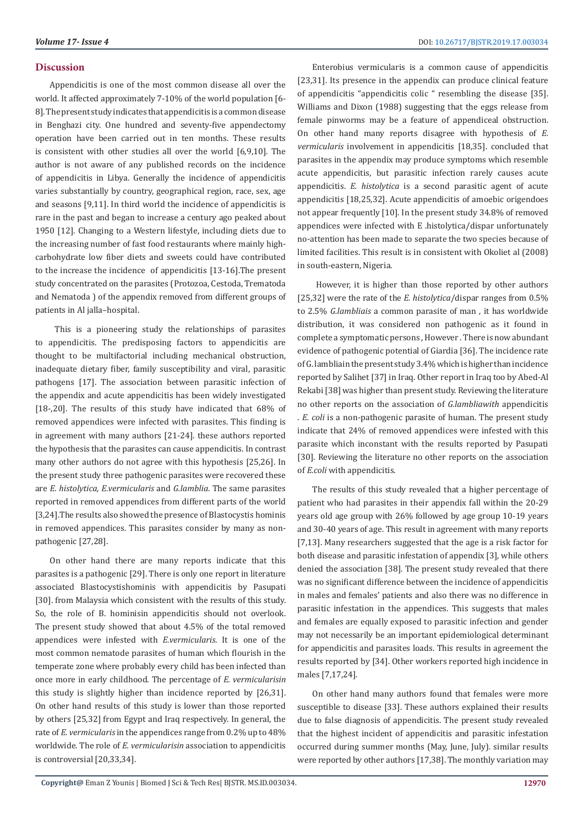#### **Discussion**

Appendicitis is one of the most common disease all over the world. It affected approximately 7-10% of the world population [6- 8]. The present study indicates that appendicitis is a common disease in Benghazi city. One hundred and seventy-five appendectomy operation have been carried out in ten months. These results is consistent with other studies all over the world [6,9,10]. The author is not aware of any published records on the incidence of appendicitis in Libya. Generally the incidence of appendicitis varies substantially by country, geographical region, race, sex, age and seasons [9,11]. In third world the incidence of appendicitis is rare in the past and began to increase a century ago peaked about 1950 [12]. Changing to a Western lifestyle, including diets due to the increasing number of fast food restaurants where mainly highcarbohydrate low fiber diets and sweets could have contributed to the increase the incidence of appendicitis [13-16].The present study concentrated on the parasites (Protozoa, Cestoda, Trematoda and Nematoda ) of the appendix removed from different groups of patients in Al jalla–hospital.

 This is a pioneering study the relationships of parasites to appendicitis. The predisposing factors to appendicitis are thought to be multifactorial including mechanical obstruction, inadequate dietary fiber, family susceptibility and viral, parasitic pathogens [17]. The association between parasitic infection of the appendix and acute appendicitis has been widely investigated [18-,20]. The results of this study have indicated that 68% of removed appendices were infected with parasites. This finding is in agreement with many authors [21-24]. these authors reported the hypothesis that the parasites can cause appendicitis. In contrast many other authors do not agree with this hypothesis [25,26]. In the present study three pathogenic parasites were recovered these are *E. histolytica, E.vermicularis* and *G.lamblia*. The same parasites reported in removed appendices from different parts of the world [3,24].The results also showed the presence of Blastocystis hominis in removed appendices. This parasites consider by many as nonpathogenic [27,28].

On other hand there are many reports indicate that this parasites is a pathogenic [29]. There is only one report in literature associated Blastocystishominis with appendicitis by Pasupati [30]. from Malaysia which consistent with the results of this study. So, the role of B. hominisin appendicitis should not overlook. The present study showed that about 4.5% of the total removed appendices were infested with *E.vermicularis*. It is one of the most common nematode parasites of human which flourish in the temperate zone where probably every child has been infected than once more in early childhood. The percentage of *E. vermicularisin* this study is slightly higher than incidence reported by [26,31]. On other hand results of this study is lower than those reported by others [25,32] from Egypt and Iraq respectively. In general, the rate of *E. vermicularis* in the appendices range from 0.2% up to 48% worldwide. The role of *E. vermicularisin* association to appendicitis is controversial [20,33,34].

Enterobius vermicularis is a common cause of appendicitis [23,31]. Its presence in the appendix can produce clinical feature of appendicitis "appendicitis colic " resembling the disease [35]. Williams and Dixon (1988) suggesting that the eggs release from female pinworms may be a feature of appendiceal obstruction. On other hand many reports disagree with hypothesis of *E. vermicularis* involvement in appendicitis [18,35]. concluded that parasites in the appendix may produce symptoms which resemble acute appendicitis, but parasitic infection rarely causes acute appendicitis. *E. histolytica* is a second parasitic agent of acute appendicitis [18,25,32]. Acute appendicitis of amoebic origendoes not appear frequently [10]. In the present study 34.8% of removed appendices were infected with E .histolytica/dispar unfortunately no-attention has been made to separate the two species because of limited facilities. This result is in consistent with Okoliet al (2008) in south-eastern, Nigeria.

 However, it is higher than those reported by other authors [25,32] were the rate of the *E. histolytica*/dispar ranges from 0.5% to 2.5% *G.lambliais* a common parasite of man , it has worldwide distribution, it was considered non pathogenic as it found in complete a symptomatic persons , However . There is now abundant evidence of pathogenic potential of Giardia [36]. The incidence rate of G. lambliain the present study 3.4% which is higher than incidence reported by Salihet [37] in Iraq. Other report in Iraq too by Abed-Al Rekabi [38] was higher than present study. Reviewing the literature no other reports on the association of *G.lambliawith* appendicitis . *E. coli* is a non-pathogenic parasite of human. The present study indicate that 24% of removed appendices were infested with this parasite which inconstant with the results reported by Pasupati [30]. Reviewing the literature no other reports on the association of *E.coli* with appendicitis.

The results of this study revealed that a higher percentage of patient who had parasites in their appendix fall within the 20-29 years old age group with 26% followed by age group 10-19 years and 30-40 years of age. This result in agreement with many reports [7,13]. Many researchers suggested that the age is a risk factor for both disease and parasitic infestation of appendix [3], while others denied the association [38]. The present study revealed that there was no significant difference between the incidence of appendicitis in males and females' patients and also there was no difference in parasitic infestation in the appendices. This suggests that males and females are equally exposed to parasitic infection and gender may not necessarily be an important epidemiological determinant for appendicitis and parasites loads. This results in agreement the results reported by [34]. Other workers reported high incidence in males [7,17,24].

On other hand many authors found that females were more susceptible to disease [33]. These authors explained their results due to false diagnosis of appendicitis. The present study revealed that the highest incident of appendicitis and parasitic infestation occurred during summer months (May, June, July). similar results were reported by other authors [17,38]. The monthly variation may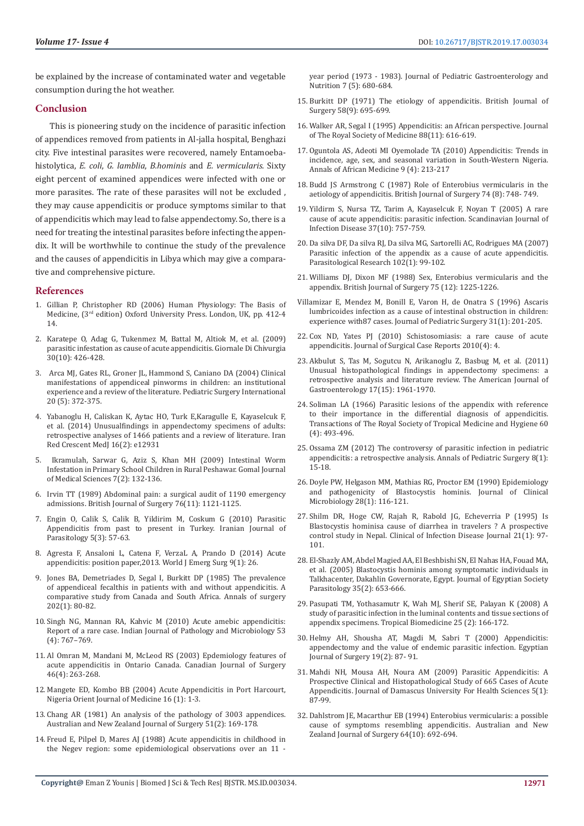be explained by the increase of contaminated water and vegetable consumption during the hot weather.

#### **Conclusion**

This is pioneering study on the incidence of parasitic infection of appendices removed from patients in Al-jalla hospital, Benghazi city. Five intestinal parasites were recovered, namely Entamoebahistolytica, *E. coli*, *G. lamblia*, *B.hominis* and *E. vermicularis*. Sixty eight percent of examined appendices were infected with one or more parasites. The rate of these parasites will not be excluded , they may cause appendicitis or produce symptoms similar to that of appendicitis which may lead to false appendectomy. So, there is a need for treating the intestinal parasites before infecting the appendix. It will be worthwhile to continue the study of the prevalence and the causes of appendicitis in Libya which may give a comparative and comprehensive picture.

#### **References**

- 1. Gillian P, Christopher RD (2006) Human Physiology: The Basis of Medicine, (3rd edition) Oxford University Press. London, UK, pp. 412-4 14.
- 2. Karatepe O, Adag G, Tukenmez M, Battal M, Altiok M, et al. (2009) parasitic infestation as cause of acute appendicitis. Giornale Di Chivurgia 30(10): 426-428.
- 3. Arca MJ, Gates RL, Groner JL, Hammond S, Caniano DA (2004) Clinical manifestations of appendiceal pinworms in children: an institutional experience and a review of the literature. Pediatric Surgery International 20 (5): 372-375.
- 4. Yabanoglu H, Caliskan K, Aytac HO, Turk E,Karagulle E, Kayaselcuk F, et al. (2014) Unusualfindings in appendectomy specimens of adults: retrospective analyses of 1466 patients and a review of literature. Iran Red Crescent MedJ 16(2): e12931
- 5. Ikramulah, Sarwar G, Aziz S, Khan MH (2009) Intestinal Worm Infestation in Primary School Children in Rural Peshawar. Gomal Journal of Medical Sciences 7(2): 132-136.
- 6. Irvin TT (1989) Abdominal pain: a surgical audit of 1190 emergency admissions. British Journal of Surgery 76(11): 1121-1125.
- 7. Engin O, Calik S, Calik B, Yildirim M, Coskum G (2010) Parasitic Appendicitis from past to present in Turkey. Iranian Journal of Parasitology 5(3): 57-63.
- 8. Agresta F, Ansaloni L, Catena F, VerzaL A, Prando D (2014) Acute appendicitis: position paper,2013. World J Emerg Surg 9(1): 26.
- 9. Jones BA, Demetriades D, Segal I, Burkitt DP (1985) The prevalence of appendiceal fecalthis in patients with and without appendicitis. A comparative study from Canada and South Africa. Annals of surgery 202(1): 80-82.
- 10. Singh NG, Mannan RA, Kahvic M (2010) Acute amebic appendicitis: Report of a rare case. Indian Journal of Pathology and Microbiology 53 (4): 767–769.
- 11. Al Omran M, Mandani M, McLeod RS (2003) Epdemiology features of acute appendicitis in Ontario Canada. Canadian Journal of Surgery 46(4): 263-268.
- 12. Mangete ED, Kombo BB (2004) Acute Appendicitis in Port Harcourt, Nigeria Orient Journal of Medicine 16 (1): 1-3.
- 13. Chang AR (1981) An analysis of the pathology of 3003 appendices. Australian and New Zealand Journal of Surgery 51(2): 169-178.
- 14. Freud E, Pilpel D, Mares AJ (1988) Acute appendicitis in childhood in the Negev region: some epidemiological observations over an 11

year period (1973 - 1983). Journal of Pediatric Gastroenterology and Nutrition 7 (5): 680-684.

- 15. Burkitt DP (1971) The etiology of appendicitis. British Journal of Surgery 58(9): 695-699.
- 16. Walker AR, Segal I (1995) Appendicitis: an African perspective. Journal of The Royal Society of Medicine 88(11): 616-619.
- 17. Oguntola AS, Adeoti MI Oyemolade TA (2010) Appendicitis: Trends in incidence, age, sex, and seasonal variation in South-Western Nigeria. Annals of African Medicine 9 (4): 213-217
- 18. Budd JS Armstrong C (1987) Role of Enterobius vermicularis in the aetiology of appendicitis. British Journal of Surgery 74 (8): 748- 749.
- 19. Yildirm S, Nursa TZ, Tarim A, Kayaselcuk F, Noyan T (2005) A rare cause of acute appendicitis: parasitic infection. Scandinavian Journal of Infection Disease 37(10): 757-759.
- 20. Da silva DF, Da silva RJ, Da silva MG, Sartorelli AC, Rodrigues MA (2007) Parasitic infection of the appendix as a cause of acute appendicitis. Parasitological Research 102(1): 99-102.
- 21. Williams DJ, Dixon MF (1988) Sex, Enterobius vermicularis and the appendix. British Journal of Surgery 75 (12): 1225-1226.
- Villamizar E, Mendez M, Bonill E, Varon H, de Onatra S (1996) Ascaris lumbricoides infection as a cause of intestinal obstruction in children: experience with87 cases. Journal of Pediatric Surgery 31(1): 201-205.
- 22. Cox ND, Yates PJ (2010) Schistosomiasis: a rare cause of acute appendicitis. Journal of Surgical Case Reports 2010(4): 4.
- 23. Akbulut S, Tas M, Sogutcu N, Arikanoglu Z, Basbug M, et al. (2011) Unusual histopathological findings in appendectomy specimens: a retrospective analysis and literature review. The American Journal of Gastroenterology 17(15): 1961-1970.
- 24. Soliman LA (1966) Parasitic lesions of the appendix with reference to their importance in the differential diagnosis of appendicitis. Transactions of The Royal Society of Tropical Medicine and Hygiene 60 (4): 493-496.
- 25. Ossama ZM (2012) The controversy of parasitic infection in pediatric appendicitis: a retrospective analysis. Annals of Pediatric Surgery 8(1): 15-18.
- 26. Doyle PW, Helgason MM, Mathias RG, Proctor EM (1990) Epidemiology and pathogenicity of Blastocystis hominis. Journal of Clinical Microbiology 28(1): 116-121.
- 27. Shilm DR, Hoge CW, Rajah R, Rabold JG, Echeverria P (1995) Is Blastocystis hominisa cause of diarrhea in travelers ? A prospective control study in Nepal. Clinical of Infection Disease Journal 21(1): 97- 101.
- 28. El-Shazly AM, Abdel Magied AA, El Beshbishi SN, El Nahas HA, Fouad MA, et al. (2005) Blastocystis hominis among symptomatic individuals in Talkhacenter, Dakahlin Governorate, Egypt. Journal of Egyptian Society Parasitology 35(2): 653-666.
- 29. Pasupati TM, Yothasamutr K, Wah MJ, Sherif SE, Palayan K (2008) A study of parasitic infection in the luminal contents and tissue sections of appendix specimens. Tropical Biomedicine 25 (2): 166-172.
- 30. Helmy AH, Shousha AT, Magdi M, Sabri T (2000) Appendicitis: appendectomy and the value of endemic parasitic infection. Egyptian Journal of Surgery 19(2): 87- 91.
- 31. Mahdi NH, Mousa AH, Noura AM (2009) Parasitic Appendicitis: A Prospective Clinical and Histopathological Study of 665 Cases of Acute Appendicitis. Journal of Damascus University For Health Sciences 5(1): 87-99.
- 32. Dahlstrom JE, Macarthur EB (1994) Enterobius vermicularis: a possible cause of symptoms resembling appendicitis. Australian and New Zealand Journal of Surgery 64(10): 692-694.